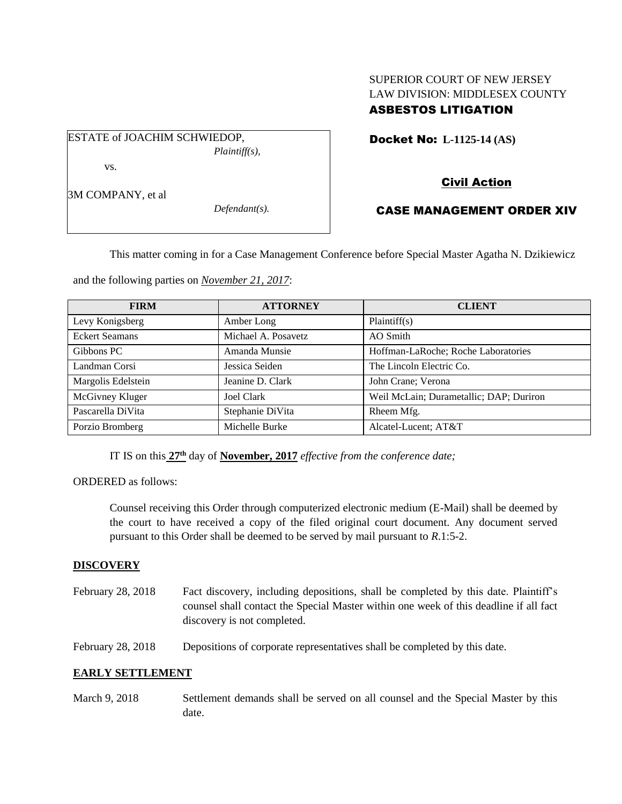# SUPERIOR COURT OF NEW JERSEY LAW DIVISION: MIDDLESEX COUNTY ASBESTOS LITIGATION

ESTATE of JOACHIM SCHWIEDOP,

*Plaintiff(s),*

vs.

3M COMPANY, et al

*Defendant(s).*

Docket No: **L-1125-14 (AS)** 

# Civil Action

# CASE MANAGEMENT ORDER XIV

This matter coming in for a Case Management Conference before Special Master Agatha N. Dzikiewicz

and the following parties on *November 21, 2017*:

| <b>FIRM</b>           | <b>ATTORNEY</b>     | <b>CLIENT</b>                           |
|-----------------------|---------------------|-----------------------------------------|
| Levy Konigsberg       | Amber Long          | Plaintiff(s)                            |
| <b>Eckert Seamans</b> | Michael A. Posavetz | AO Smith                                |
| Gibbons PC            | Amanda Munsie       | Hoffman-LaRoche; Roche Laboratories     |
| Landman Corsi         | Jessica Seiden      | The Lincoln Electric Co.                |
| Margolis Edelstein    | Jeanine D. Clark    | John Crane; Verona                      |
| McGivney Kluger       | Joel Clark          | Weil McLain; Durametallic; DAP; Duriron |
| Pascarella DiVita     | Stephanie DiVita    | Rheem Mfg.                              |
| Porzio Bromberg       | Michelle Burke      | Alcatel-Lucent; AT&T                    |

IT IS on this **27th** day of **November, 2017** *effective from the conference date;*

ORDERED as follows:

Counsel receiving this Order through computerized electronic medium (E-Mail) shall be deemed by the court to have received a copy of the filed original court document. Any document served pursuant to this Order shall be deemed to be served by mail pursuant to *R*.1:5-2.

# **DISCOVERY**

- February 28, 2018 Fact discovery, including depositions, shall be completed by this date. Plaintiff's counsel shall contact the Special Master within one week of this deadline if all fact discovery is not completed.
- February 28, 2018 Depositions of corporate representatives shall be completed by this date.

# **EARLY SETTLEMENT**

March 9, 2018 Settlement demands shall be served on all counsel and the Special Master by this date.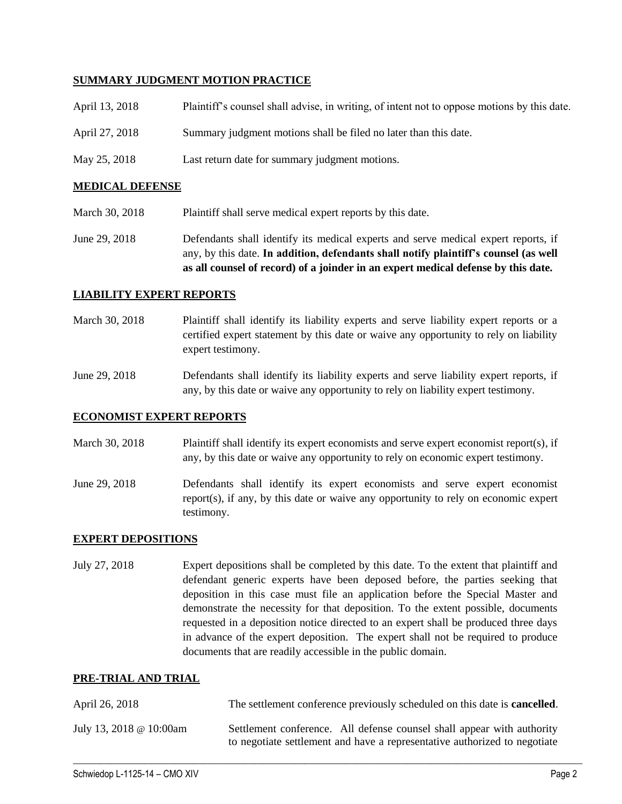## **SUMMARY JUDGMENT MOTION PRACTICE**

| April 13, 2018 | Plaintiff's counsel shall advise, in writing, of intent not to oppose motions by this date. |
|----------------|---------------------------------------------------------------------------------------------|
| April 27, 2018 | Summary judgment motions shall be filed no later than this date.                            |
| May 25, 2018   | Last return date for summary judgment motions.                                              |

### **MEDICAL DEFENSE**

- March 30, 2018 Plaintiff shall serve medical expert reports by this date.
- June 29, 2018 Defendants shall identify its medical experts and serve medical expert reports, if any, by this date. **In addition, defendants shall notify plaintiff's counsel (as well as all counsel of record) of a joinder in an expert medical defense by this date.**

## **LIABILITY EXPERT REPORTS**

- March 30, 2018 Plaintiff shall identify its liability experts and serve liability expert reports or a certified expert statement by this date or waive any opportunity to rely on liability expert testimony.
- June 29, 2018 Defendants shall identify its liability experts and serve liability expert reports, if any, by this date or waive any opportunity to rely on liability expert testimony.

## **ECONOMIST EXPERT REPORTS**

- March 30, 2018 Plaintiff shall identify its expert economists and serve expert economist report(s), if any, by this date or waive any opportunity to rely on economic expert testimony.
- June 29, 2018 Defendants shall identify its expert economists and serve expert economist report(s), if any, by this date or waive any opportunity to rely on economic expert testimony.

## **EXPERT DEPOSITIONS**

July 27, 2018 Expert depositions shall be completed by this date. To the extent that plaintiff and defendant generic experts have been deposed before, the parties seeking that deposition in this case must file an application before the Special Master and demonstrate the necessity for that deposition. To the extent possible, documents requested in a deposition notice directed to an expert shall be produced three days in advance of the expert deposition. The expert shall not be required to produce documents that are readily accessible in the public domain.

## **PRE-TRIAL AND TRIAL**

| April 26, 2018          | The settlement conference previously scheduled on this date is <b>cancelled</b> .                                                                   |
|-------------------------|-----------------------------------------------------------------------------------------------------------------------------------------------------|
| July 13, 2018 @ 10:00am | Settlement conference. All defense counsel shall appear with authority<br>to negotiate settlement and have a representative authorized to negotiate |

 $\_$  ,  $\_$  ,  $\_$  ,  $\_$  ,  $\_$  ,  $\_$  ,  $\_$  ,  $\_$  ,  $\_$  ,  $\_$  ,  $\_$  ,  $\_$  ,  $\_$  ,  $\_$  ,  $\_$  ,  $\_$  ,  $\_$  ,  $\_$  ,  $\_$  ,  $\_$  ,  $\_$  ,  $\_$  ,  $\_$  ,  $\_$  ,  $\_$  ,  $\_$  ,  $\_$  ,  $\_$  ,  $\_$  ,  $\_$  ,  $\_$  ,  $\_$  ,  $\_$  ,  $\_$  ,  $\_$  ,  $\_$  ,  $\_$  ,